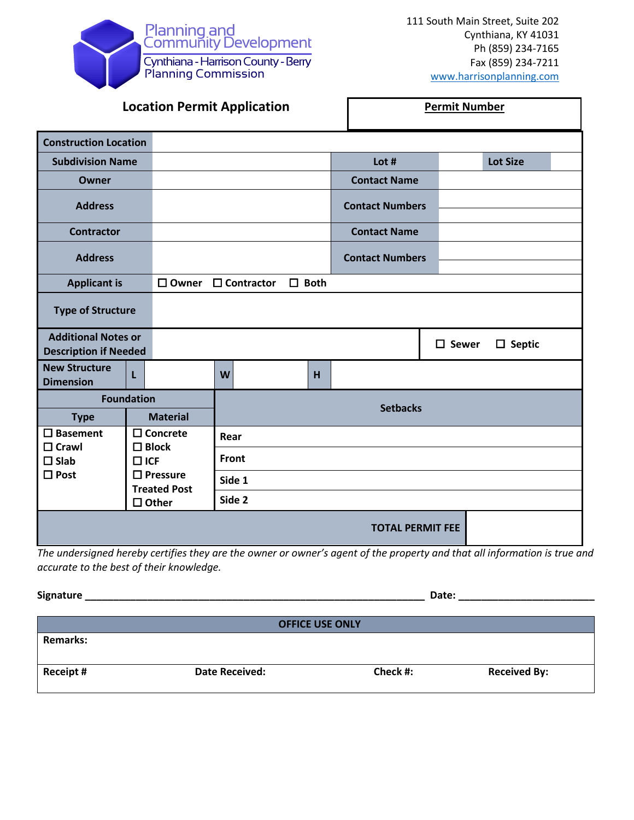

111 South Main Street, Suite 202 Cynthiana, KY 41031 Ph (859) 234-7165 Fax (859) 234-7211 [www.harrisonplanning.com](http://www.harrisonplanning.com/)

| <b>Location Permit Application</b> |  |
|------------------------------------|--|
|------------------------------------|--|

| <b>Location Permit Application</b>                                                                                                                                                                                 |                                       |                                           |                   |             | <b>Permit Number</b>   |                 |                 |  |
|--------------------------------------------------------------------------------------------------------------------------------------------------------------------------------------------------------------------|---------------------------------------|-------------------------------------------|-------------------|-------------|------------------------|-----------------|-----------------|--|
| <b>Construction Location</b>                                                                                                                                                                                       |                                       |                                           |                   |             |                        |                 |                 |  |
| <b>Subdivision Name</b>                                                                                                                                                                                            |                                       |                                           |                   |             | Lot $#$                |                 | <b>Lot Size</b> |  |
| <b>Owner</b>                                                                                                                                                                                                       |                                       |                                           |                   |             | <b>Contact Name</b>    |                 |                 |  |
| <b>Address</b>                                                                                                                                                                                                     |                                       |                                           |                   |             | <b>Contact Numbers</b> |                 |                 |  |
| <b>Contractor</b>                                                                                                                                                                                                  |                                       |                                           |                   |             | <b>Contact Name</b>    |                 |                 |  |
| <b>Address</b>                                                                                                                                                                                                     |                                       |                                           |                   |             | <b>Contact Numbers</b> |                 |                 |  |
| <b>Applicant is</b>                                                                                                                                                                                                |                                       | $\square$ Owner                           | $\Box$ Contractor | $\Box$ Both |                        |                 |                 |  |
| <b>Type of Structure</b>                                                                                                                                                                                           |                                       |                                           |                   |             |                        |                 |                 |  |
| <b>Additional Notes or</b><br><b>Description if Needed</b>                                                                                                                                                         |                                       |                                           |                   |             |                        | $\square$ Sewer | $\Box$ Septic   |  |
| <b>New Structure</b><br><b>Dimension</b>                                                                                                                                                                           | Ĺ                                     |                                           | W                 | H           |                        |                 |                 |  |
| <b>Foundation</b>                                                                                                                                                                                                  |                                       | <b>Setbacks</b>                           |                   |             |                        |                 |                 |  |
| <b>Type</b>                                                                                                                                                                                                        |                                       | <b>Material</b>                           |                   |             |                        |                 |                 |  |
| $\square$ Basement                                                                                                                                                                                                 | $\square$ Concrete<br>$\square$ Block |                                           | Rear              |             |                        |                 |                 |  |
| $\Box$ Crawl<br>$\square$ Slab<br>$\Box$ ICF<br>$\square$ Post                                                                                                                                                     |                                       |                                           | Front             |             |                        |                 |                 |  |
|                                                                                                                                                                                                                    |                                       | $\square$ Pressure<br><b>Treated Post</b> | Side 1            |             |                        |                 |                 |  |
|                                                                                                                                                                                                                    | $\square$ Other                       |                                           | Side 2            |             |                        |                 |                 |  |
| <b>TOTAL PERMIT FEE</b><br>فارتدا والمراول والمستحدث والمتاري والمستحلف والمستحدث والمستحدث<br>the sum dependence of here chains and if $\mathcal{L}$ are the sum one of $\mathcal{L}$<br>ala wa suka fikis wasu s |                                       |                                           |                   |             |                        |                 |                 |  |

*The undersigned hereby certifies they are the owner or owner's agent of the property and that all information is true and accurate to the best of their knowledge.* 

| Signature       |                | Date:                  |                     |  |  |
|-----------------|----------------|------------------------|---------------------|--|--|
|                 |                | <b>OFFICE USE ONLY</b> |                     |  |  |
| <b>Remarks:</b> |                |                        |                     |  |  |
| Receipt #       | Date Received: | Check #:               | <b>Received By:</b> |  |  |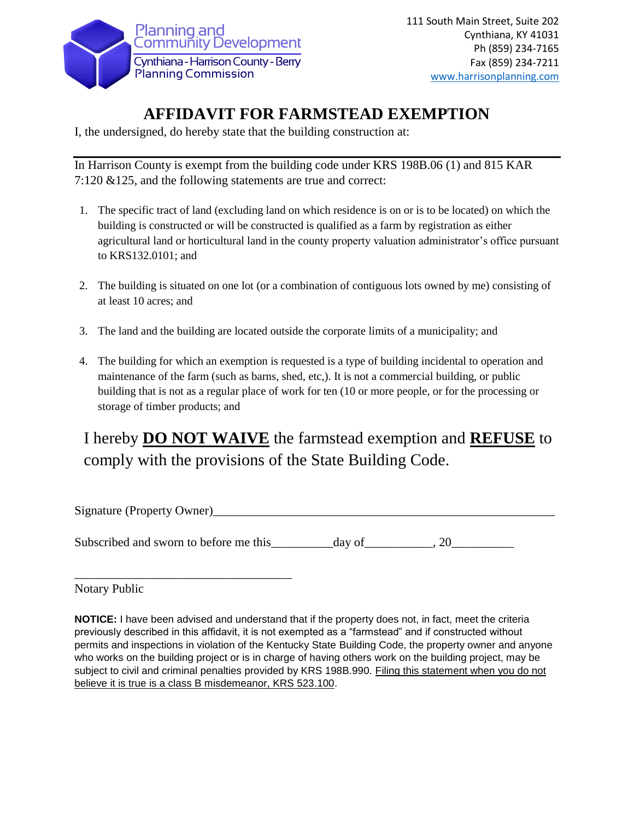

## **AFFIDAVIT FOR FARMSTEAD EXEMPTION**

I, the undersigned, do hereby state that the building construction at:

In Harrison County is exempt from the building code under KRS 198B.06 (1) and 815 KAR 7:120 &125, and the following statements are true and correct:

- 1. The specific tract of land (excluding land on which residence is on or is to be located) on which the building is constructed or will be constructed is qualified as a farm by registration as either agricultural land or horticultural land in the county property valuation administrator's office pursuant to KRS132.0101; and
- 2. The building is situated on one lot (or a combination of contiguous lots owned by me) consisting of at least 10 acres; and
- 3. The land and the building are located outside the corporate limits of a municipality; and
- 4. The building for which an exemption is requested is a type of building incidental to operation and maintenance of the farm (such as barns, shed, etc,). It is not a commercial building, or public building that is not as a regular place of work for ten (10 or more people, or for the processing or storage of timber products; and

## I hereby **DO NOT WAIVE** the farmstead exemption and **REFUSE** to comply with the provisions of the State Building Code.

Signature (Property Owner)\_\_\_\_\_\_\_\_\_\_\_\_\_\_\_\_\_\_\_\_\_\_\_\_\_\_\_\_\_\_\_\_\_\_\_\_\_\_\_\_\_\_\_\_\_\_\_\_\_\_\_\_\_\_\_

Subscribed and sworn to before me this \_\_\_\_\_\_\_\_\_\_\_\_day of \_\_\_\_\_\_\_\_\_\_, 20\_\_\_\_\_\_\_\_

Notary Public

\_\_\_\_\_\_\_\_\_\_\_\_\_\_\_\_\_\_\_\_\_\_\_\_\_\_\_\_\_\_\_\_\_\_\_

**NOTICE:** I have been advised and understand that if the property does not, in fact, meet the criteria previously described in this affidavit, it is not exempted as a "farmstead" and if constructed without permits and inspections in violation of the Kentucky State Building Code, the property owner and anyone who works on the building project or is in charge of having others work on the building project, may be subject to civil and criminal penalties provided by KRS 198B.990. Filing this statement when you do not believe it is true is a class B misdemeanor, KRS 523.100.